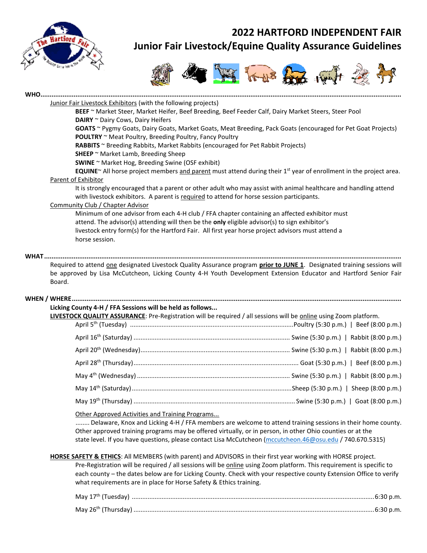

# **2022 HARTFORD INDEPENDENT FAIR Junior Fair Livestock/Equine Quality Assurance Guidelines**



| Junior Fair Livestock Exhibitors (with the following projects)<br>BEEF ~ Market Steer, Market Heifer, Beef Breeding, Beef Feeder Calf, Dairy Market Steers, Steer Pool<br>DAIRY ~ Dairy Cows, Dairy Heifers<br>GOATS ~ Pygmy Goats, Dairy Goats, Market Goats, Meat Breeding, Pack Goats (encouraged for Pet Goat Projects)<br><b>POULTRY</b> ~ Meat Poultry, Breeding Poultry, Fancy Poultry<br>RABBITS ~ Breeding Rabbits, Market Rabbits (encouraged for Pet Rabbit Projects)<br>SHEEP ~ Market Lamb, Breeding Sheep<br>SWINE ~ Market Hog, Breeding Swine (OSF exhibit)<br>Parent of Exhibitor<br>It is strongly encouraged that a parent or other adult who may assist with animal healthcare and handling attend<br>with livestock exhibitors. A parent is required to attend for horse session participants.<br><b>Community Club / Chapter Advisor</b><br>Minimum of one advisor from each 4-H club / FFA chapter containing an affected exhibitor must<br>attend. The advisor(s) attending will then be the only eligible advisor(s) to sign exhibitor's<br>livestock entry form(s) for the Hartford Fair. All first year horse project advisors must attend a<br>horse session.<br>Required to attend one designated Livestock Quality Assurance program prior to JUNE 1. Designated training sessions will<br>be approved by Lisa McCutcheon, Licking County 4-H Youth Development Extension Educator and Hartford Senior Fair<br>Board.<br>Licking County 4-H / FFA Sessions will be held as follows<br>LIVESTOCK QUALITY ASSURANCE: Pre-Registration will be required / all sessions will be online using Zoom platform.<br>Other Approved Activities and Training Programs<br>Delaware, Knox and Licking 4-H / FFA members are welcome to attend training sessions in their home county.<br>Other approved training programs may be offered virtually, or in person, in other Ohio counties or at the<br>state level. If you have questions, please contact Lisa McCutcheon (mccutcheon.46@osu.edu / 740.670.5315)<br>HORSE SAFETY & ETHICS: All MEMBERS (with parent) and ADVISORS in their first year working with HORSE project.<br>Pre-Registration will be required / all sessions will be online using Zoom platform. This requirement is specific to<br>each county - the dates below are for Licking County. Check with your respective county Extension Office to verify<br>what requirements are in place for Horse Safety & Ethics training. |                                                                                                                     |  |  |
|-----------------------------------------------------------------------------------------------------------------------------------------------------------------------------------------------------------------------------------------------------------------------------------------------------------------------------------------------------------------------------------------------------------------------------------------------------------------------------------------------------------------------------------------------------------------------------------------------------------------------------------------------------------------------------------------------------------------------------------------------------------------------------------------------------------------------------------------------------------------------------------------------------------------------------------------------------------------------------------------------------------------------------------------------------------------------------------------------------------------------------------------------------------------------------------------------------------------------------------------------------------------------------------------------------------------------------------------------------------------------------------------------------------------------------------------------------------------------------------------------------------------------------------------------------------------------------------------------------------------------------------------------------------------------------------------------------------------------------------------------------------------------------------------------------------------------------------------------------------------------------------------------------------------------------------------------------------------------------------------------------------------------------------------------------------------------------------------------------------------------------------------------------------------------------------------------------------------------------------------------------------------------------------------------------------------------------------------------------------------------------------------------------------------------------------------------------------------------|---------------------------------------------------------------------------------------------------------------------|--|--|
|                                                                                                                                                                                                                                                                                                                                                                                                                                                                                                                                                                                                                                                                                                                                                                                                                                                                                                                                                                                                                                                                                                                                                                                                                                                                                                                                                                                                                                                                                                                                                                                                                                                                                                                                                                                                                                                                                                                                                                                                                                                                                                                                                                                                                                                                                                                                                                                                                                                                       |                                                                                                                     |  |  |
|                                                                                                                                                                                                                                                                                                                                                                                                                                                                                                                                                                                                                                                                                                                                                                                                                                                                                                                                                                                                                                                                                                                                                                                                                                                                                                                                                                                                                                                                                                                                                                                                                                                                                                                                                                                                                                                                                                                                                                                                                                                                                                                                                                                                                                                                                                                                                                                                                                                                       |                                                                                                                     |  |  |
|                                                                                                                                                                                                                                                                                                                                                                                                                                                                                                                                                                                                                                                                                                                                                                                                                                                                                                                                                                                                                                                                                                                                                                                                                                                                                                                                                                                                                                                                                                                                                                                                                                                                                                                                                                                                                                                                                                                                                                                                                                                                                                                                                                                                                                                                                                                                                                                                                                                                       |                                                                                                                     |  |  |
|                                                                                                                                                                                                                                                                                                                                                                                                                                                                                                                                                                                                                                                                                                                                                                                                                                                                                                                                                                                                                                                                                                                                                                                                                                                                                                                                                                                                                                                                                                                                                                                                                                                                                                                                                                                                                                                                                                                                                                                                                                                                                                                                                                                                                                                                                                                                                                                                                                                                       |                                                                                                                     |  |  |
|                                                                                                                                                                                                                                                                                                                                                                                                                                                                                                                                                                                                                                                                                                                                                                                                                                                                                                                                                                                                                                                                                                                                                                                                                                                                                                                                                                                                                                                                                                                                                                                                                                                                                                                                                                                                                                                                                                                                                                                                                                                                                                                                                                                                                                                                                                                                                                                                                                                                       |                                                                                                                     |  |  |
|                                                                                                                                                                                                                                                                                                                                                                                                                                                                                                                                                                                                                                                                                                                                                                                                                                                                                                                                                                                                                                                                                                                                                                                                                                                                                                                                                                                                                                                                                                                                                                                                                                                                                                                                                                                                                                                                                                                                                                                                                                                                                                                                                                                                                                                                                                                                                                                                                                                                       |                                                                                                                     |  |  |
|                                                                                                                                                                                                                                                                                                                                                                                                                                                                                                                                                                                                                                                                                                                                                                                                                                                                                                                                                                                                                                                                                                                                                                                                                                                                                                                                                                                                                                                                                                                                                                                                                                                                                                                                                                                                                                                                                                                                                                                                                                                                                                                                                                                                                                                                                                                                                                                                                                                                       |                                                                                                                     |  |  |
|                                                                                                                                                                                                                                                                                                                                                                                                                                                                                                                                                                                                                                                                                                                                                                                                                                                                                                                                                                                                                                                                                                                                                                                                                                                                                                                                                                                                                                                                                                                                                                                                                                                                                                                                                                                                                                                                                                                                                                                                                                                                                                                                                                                                                                                                                                                                                                                                                                                                       | EQUINE~ All horse project members and parent must attend during their $1st$ year of enrollment in the project area. |  |  |
|                                                                                                                                                                                                                                                                                                                                                                                                                                                                                                                                                                                                                                                                                                                                                                                                                                                                                                                                                                                                                                                                                                                                                                                                                                                                                                                                                                                                                                                                                                                                                                                                                                                                                                                                                                                                                                                                                                                                                                                                                                                                                                                                                                                                                                                                                                                                                                                                                                                                       |                                                                                                                     |  |  |
|                                                                                                                                                                                                                                                                                                                                                                                                                                                                                                                                                                                                                                                                                                                                                                                                                                                                                                                                                                                                                                                                                                                                                                                                                                                                                                                                                                                                                                                                                                                                                                                                                                                                                                                                                                                                                                                                                                                                                                                                                                                                                                                                                                                                                                                                                                                                                                                                                                                                       |                                                                                                                     |  |  |
|                                                                                                                                                                                                                                                                                                                                                                                                                                                                                                                                                                                                                                                                                                                                                                                                                                                                                                                                                                                                                                                                                                                                                                                                                                                                                                                                                                                                                                                                                                                                                                                                                                                                                                                                                                                                                                                                                                                                                                                                                                                                                                                                                                                                                                                                                                                                                                                                                                                                       |                                                                                                                     |  |  |
|                                                                                                                                                                                                                                                                                                                                                                                                                                                                                                                                                                                                                                                                                                                                                                                                                                                                                                                                                                                                                                                                                                                                                                                                                                                                                                                                                                                                                                                                                                                                                                                                                                                                                                                                                                                                                                                                                                                                                                                                                                                                                                                                                                                                                                                                                                                                                                                                                                                                       |                                                                                                                     |  |  |
|                                                                                                                                                                                                                                                                                                                                                                                                                                                                                                                                                                                                                                                                                                                                                                                                                                                                                                                                                                                                                                                                                                                                                                                                                                                                                                                                                                                                                                                                                                                                                                                                                                                                                                                                                                                                                                                                                                                                                                                                                                                                                                                                                                                                                                                                                                                                                                                                                                                                       |                                                                                                                     |  |  |
|                                                                                                                                                                                                                                                                                                                                                                                                                                                                                                                                                                                                                                                                                                                                                                                                                                                                                                                                                                                                                                                                                                                                                                                                                                                                                                                                                                                                                                                                                                                                                                                                                                                                                                                                                                                                                                                                                                                                                                                                                                                                                                                                                                                                                                                                                                                                                                                                                                                                       |                                                                                                                     |  |  |
|                                                                                                                                                                                                                                                                                                                                                                                                                                                                                                                                                                                                                                                                                                                                                                                                                                                                                                                                                                                                                                                                                                                                                                                                                                                                                                                                                                                                                                                                                                                                                                                                                                                                                                                                                                                                                                                                                                                                                                                                                                                                                                                                                                                                                                                                                                                                                                                                                                                                       |                                                                                                                     |  |  |
|                                                                                                                                                                                                                                                                                                                                                                                                                                                                                                                                                                                                                                                                                                                                                                                                                                                                                                                                                                                                                                                                                                                                                                                                                                                                                                                                                                                                                                                                                                                                                                                                                                                                                                                                                                                                                                                                                                                                                                                                                                                                                                                                                                                                                                                                                                                                                                                                                                                                       |                                                                                                                     |  |  |
|                                                                                                                                                                                                                                                                                                                                                                                                                                                                                                                                                                                                                                                                                                                                                                                                                                                                                                                                                                                                                                                                                                                                                                                                                                                                                                                                                                                                                                                                                                                                                                                                                                                                                                                                                                                                                                                                                                                                                                                                                                                                                                                                                                                                                                                                                                                                                                                                                                                                       |                                                                                                                     |  |  |
|                                                                                                                                                                                                                                                                                                                                                                                                                                                                                                                                                                                                                                                                                                                                                                                                                                                                                                                                                                                                                                                                                                                                                                                                                                                                                                                                                                                                                                                                                                                                                                                                                                                                                                                                                                                                                                                                                                                                                                                                                                                                                                                                                                                                                                                                                                                                                                                                                                                                       |                                                                                                                     |  |  |
|                                                                                                                                                                                                                                                                                                                                                                                                                                                                                                                                                                                                                                                                                                                                                                                                                                                                                                                                                                                                                                                                                                                                                                                                                                                                                                                                                                                                                                                                                                                                                                                                                                                                                                                                                                                                                                                                                                                                                                                                                                                                                                                                                                                                                                                                                                                                                                                                                                                                       |                                                                                                                     |  |  |
|                                                                                                                                                                                                                                                                                                                                                                                                                                                                                                                                                                                                                                                                                                                                                                                                                                                                                                                                                                                                                                                                                                                                                                                                                                                                                                                                                                                                                                                                                                                                                                                                                                                                                                                                                                                                                                                                                                                                                                                                                                                                                                                                                                                                                                                                                                                                                                                                                                                                       |                                                                                                                     |  |  |
|                                                                                                                                                                                                                                                                                                                                                                                                                                                                                                                                                                                                                                                                                                                                                                                                                                                                                                                                                                                                                                                                                                                                                                                                                                                                                                                                                                                                                                                                                                                                                                                                                                                                                                                                                                                                                                                                                                                                                                                                                                                                                                                                                                                                                                                                                                                                                                                                                                                                       |                                                                                                                     |  |  |
|                                                                                                                                                                                                                                                                                                                                                                                                                                                                                                                                                                                                                                                                                                                                                                                                                                                                                                                                                                                                                                                                                                                                                                                                                                                                                                                                                                                                                                                                                                                                                                                                                                                                                                                                                                                                                                                                                                                                                                                                                                                                                                                                                                                                                                                                                                                                                                                                                                                                       |                                                                                                                     |  |  |
|                                                                                                                                                                                                                                                                                                                                                                                                                                                                                                                                                                                                                                                                                                                                                                                                                                                                                                                                                                                                                                                                                                                                                                                                                                                                                                                                                                                                                                                                                                                                                                                                                                                                                                                                                                                                                                                                                                                                                                                                                                                                                                                                                                                                                                                                                                                                                                                                                                                                       |                                                                                                                     |  |  |
|                                                                                                                                                                                                                                                                                                                                                                                                                                                                                                                                                                                                                                                                                                                                                                                                                                                                                                                                                                                                                                                                                                                                                                                                                                                                                                                                                                                                                                                                                                                                                                                                                                                                                                                                                                                                                                                                                                                                                                                                                                                                                                                                                                                                                                                                                                                                                                                                                                                                       |                                                                                                                     |  |  |
|                                                                                                                                                                                                                                                                                                                                                                                                                                                                                                                                                                                                                                                                                                                                                                                                                                                                                                                                                                                                                                                                                                                                                                                                                                                                                                                                                                                                                                                                                                                                                                                                                                                                                                                                                                                                                                                                                                                                                                                                                                                                                                                                                                                                                                                                                                                                                                                                                                                                       |                                                                                                                     |  |  |
|                                                                                                                                                                                                                                                                                                                                                                                                                                                                                                                                                                                                                                                                                                                                                                                                                                                                                                                                                                                                                                                                                                                                                                                                                                                                                                                                                                                                                                                                                                                                                                                                                                                                                                                                                                                                                                                                                                                                                                                                                                                                                                                                                                                                                                                                                                                                                                                                                                                                       |                                                                                                                     |  |  |
|                                                                                                                                                                                                                                                                                                                                                                                                                                                                                                                                                                                                                                                                                                                                                                                                                                                                                                                                                                                                                                                                                                                                                                                                                                                                                                                                                                                                                                                                                                                                                                                                                                                                                                                                                                                                                                                                                                                                                                                                                                                                                                                                                                                                                                                                                                                                                                                                                                                                       |                                                                                                                     |  |  |
|                                                                                                                                                                                                                                                                                                                                                                                                                                                                                                                                                                                                                                                                                                                                                                                                                                                                                                                                                                                                                                                                                                                                                                                                                                                                                                                                                                                                                                                                                                                                                                                                                                                                                                                                                                                                                                                                                                                                                                                                                                                                                                                                                                                                                                                                                                                                                                                                                                                                       |                                                                                                                     |  |  |
|                                                                                                                                                                                                                                                                                                                                                                                                                                                                                                                                                                                                                                                                                                                                                                                                                                                                                                                                                                                                                                                                                                                                                                                                                                                                                                                                                                                                                                                                                                                                                                                                                                                                                                                                                                                                                                                                                                                                                                                                                                                                                                                                                                                                                                                                                                                                                                                                                                                                       |                                                                                                                     |  |  |
|                                                                                                                                                                                                                                                                                                                                                                                                                                                                                                                                                                                                                                                                                                                                                                                                                                                                                                                                                                                                                                                                                                                                                                                                                                                                                                                                                                                                                                                                                                                                                                                                                                                                                                                                                                                                                                                                                                                                                                                                                                                                                                                                                                                                                                                                                                                                                                                                                                                                       |                                                                                                                     |  |  |
|                                                                                                                                                                                                                                                                                                                                                                                                                                                                                                                                                                                                                                                                                                                                                                                                                                                                                                                                                                                                                                                                                                                                                                                                                                                                                                                                                                                                                                                                                                                                                                                                                                                                                                                                                                                                                                                                                                                                                                                                                                                                                                                                                                                                                                                                                                                                                                                                                                                                       |                                                                                                                     |  |  |
|                                                                                                                                                                                                                                                                                                                                                                                                                                                                                                                                                                                                                                                                                                                                                                                                                                                                                                                                                                                                                                                                                                                                                                                                                                                                                                                                                                                                                                                                                                                                                                                                                                                                                                                                                                                                                                                                                                                                                                                                                                                                                                                                                                                                                                                                                                                                                                                                                                                                       |                                                                                                                     |  |  |
|                                                                                                                                                                                                                                                                                                                                                                                                                                                                                                                                                                                                                                                                                                                                                                                                                                                                                                                                                                                                                                                                                                                                                                                                                                                                                                                                                                                                                                                                                                                                                                                                                                                                                                                                                                                                                                                                                                                                                                                                                                                                                                                                                                                                                                                                                                                                                                                                                                                                       |                                                                                                                     |  |  |
|                                                                                                                                                                                                                                                                                                                                                                                                                                                                                                                                                                                                                                                                                                                                                                                                                                                                                                                                                                                                                                                                                                                                                                                                                                                                                                                                                                                                                                                                                                                                                                                                                                                                                                                                                                                                                                                                                                                                                                                                                                                                                                                                                                                                                                                                                                                                                                                                                                                                       |                                                                                                                     |  |  |
|                                                                                                                                                                                                                                                                                                                                                                                                                                                                                                                                                                                                                                                                                                                                                                                                                                                                                                                                                                                                                                                                                                                                                                                                                                                                                                                                                                                                                                                                                                                                                                                                                                                                                                                                                                                                                                                                                                                                                                                                                                                                                                                                                                                                                                                                                                                                                                                                                                                                       |                                                                                                                     |  |  |
|                                                                                                                                                                                                                                                                                                                                                                                                                                                                                                                                                                                                                                                                                                                                                                                                                                                                                                                                                                                                                                                                                                                                                                                                                                                                                                                                                                                                                                                                                                                                                                                                                                                                                                                                                                                                                                                                                                                                                                                                                                                                                                                                                                                                                                                                                                                                                                                                                                                                       |                                                                                                                     |  |  |